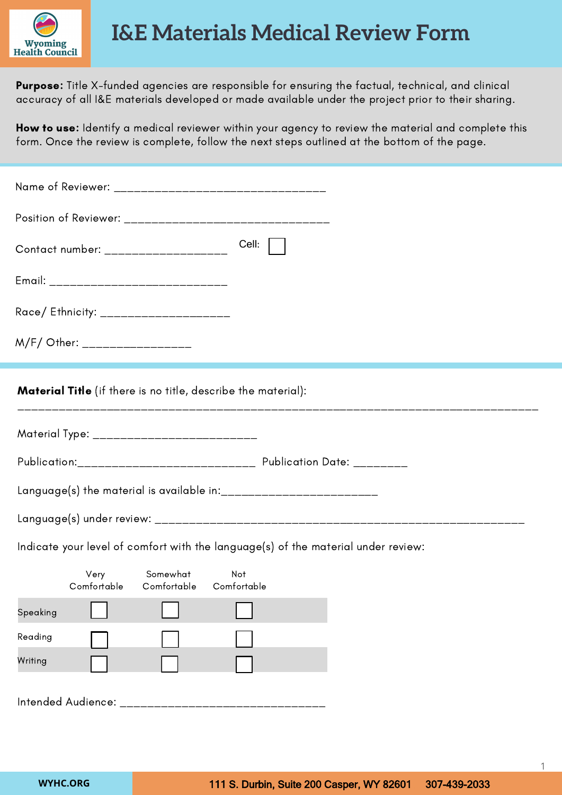

Purpose: Title X-funded agencies are responsible for ensuring the factual, technical, and clinical accuracy of all I&E materials developed or made available under the project prior to their sharing.

How to use: Identify a medical reviewer within your agency to review the material and complete this form. Once the review is complete, follow the next steps outlined at the bottom of the page.

| Cell:<br>Contact number: ____________________                                     |
|-----------------------------------------------------------------------------------|
| Email: _______________________________                                            |
| Race/ Ethnicity: _____________________                                            |
| M/F/ Other: _________________                                                     |
| <b>Material Title</b> (if there is no title, describe the material):              |
| Material Type: ___________________________                                        |
| Publication:_________________________________    Publication Date: _________      |
|                                                                                   |
|                                                                                   |
| Indicate your level of comfort with the language(s) of the material under review: |
| Somewhat<br>Not<br>Very<br>Comfortable<br>Comfortable Comfortable                 |
| Speaking                                                                          |
| Reading                                                                           |
| Writing                                                                           |
| Intended Audience: _______________________                                        |

1